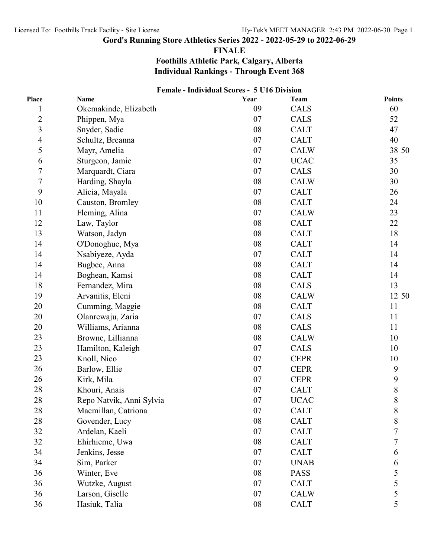#### **FINALE**

## **Foothills Athletic Park, Calgary, Alberta Individual Rankings - Through Event 368**

|                | Female - Individual Scores - 5 U16 Division |      |             |                |
|----------------|---------------------------------------------|------|-------------|----------------|
| Place          | <b>Name</b>                                 | Year | Team        | <b>Points</b>  |
| $\mathbf 1$    | Okemakinde, Elizabeth                       | 09   | <b>CALS</b> | 60             |
| $\overline{c}$ | Phippen, Mya                                | 07   | <b>CALS</b> | 52             |
| $\overline{3}$ | Snyder, Sadie                               | 08   | <b>CALT</b> | 47             |
| 4              | Schultz, Breanna                            | 07   | <b>CALT</b> | 40             |
| 5              | Mayr, Amelia                                | 07   | <b>CALW</b> | 38 50          |
| 6              | Sturgeon, Jamie                             | 07   | <b>UCAC</b> | 35             |
| $\overline{7}$ | Marquardt, Ciara                            | 07   | <b>CALS</b> | 30             |
| $\sqrt{ }$     | Harding, Shayla                             | 08   | <b>CALW</b> | 30             |
| 9              | Alicia, Mayala                              | 07   | <b>CALT</b> | 26             |
| 10             | Causton, Bromley                            | 08   | <b>CALT</b> | 24             |
| 11             | Fleming, Alina                              | 07   | <b>CALW</b> | 23             |
| 12             | Law, Taylor                                 | 08   | <b>CALT</b> | 22             |
| 13             | Watson, Jadyn                               | 08   | <b>CALT</b> | 18             |
| 14             | O'Donoghue, Mya                             | 08   | <b>CALT</b> | 14             |
| 14             | Nsabiyeze, Ayda                             | 07   | <b>CALT</b> | 14             |
| 14             | Bugbee, Anna                                | 08   | <b>CALT</b> | 14             |
| 14             | Boghean, Kamsi                              | 08   | <b>CALT</b> | 14             |
| 18             | Fernandez, Mira                             | 08   | CALS        | 13             |
| 19             | Arvanitis, Eleni                            | 08   | <b>CALW</b> | 12 50          |
| 20             | Cumming, Maggie                             | 08   | <b>CALT</b> | 11             |
| 20             | Olanrewaju, Zaria                           | 07   | <b>CALS</b> | 11             |
| 20             | Williams, Arianna                           | 08   | <b>CALS</b> | 11             |
| 23             | Browne, Lillianna                           | 08   | <b>CALW</b> | 10             |
| 23             | Hamilton, Kaleigh                           | 07   | <b>CALS</b> | 10             |
| 23             | Knoll, Nico                                 | 07   | <b>CEPR</b> | 10             |
| 26             | Barlow, Ellie                               | 07   | <b>CEPR</b> | 9              |
| 26             | Kirk, Mila                                  | 07   | <b>CEPR</b> | 9              |
| 28             | Khouri, Anais                               | 07   | <b>CALT</b> | 8              |
| 28             | Repo Natvik, Anni Sylvia                    | 07   | <b>UCAC</b> | 8              |
| 28             | Macmillan, Catriona                         | 07   | <b>CALT</b> | $\,$ $\,$      |
| 28             | Govender, Lucy                              | 08   | <b>CALT</b> | 8              |
| 32             | Ardelan, Kaeli                              | 07   | <b>CALT</b> | $\overline{7}$ |
| 32             | Ehirhieme, Uwa                              | 08   | <b>CALT</b> | 7              |
| 34             | Jenkins, Jesse                              | 07   | <b>CALT</b> | 6              |
| 34             | Sim, Parker                                 | 07   | <b>UNAB</b> | 6              |
| 36             | Winter, Eve                                 | 08   | <b>PASS</b> | 5              |
| 36             | Wutzke, August                              | 07   | <b>CALT</b> | 5              |
| 36             | Larson, Giselle                             | 07   | <b>CALW</b> | 5              |
| 36             | Hasiuk, Talia                               | 08   | <b>CALT</b> | 5              |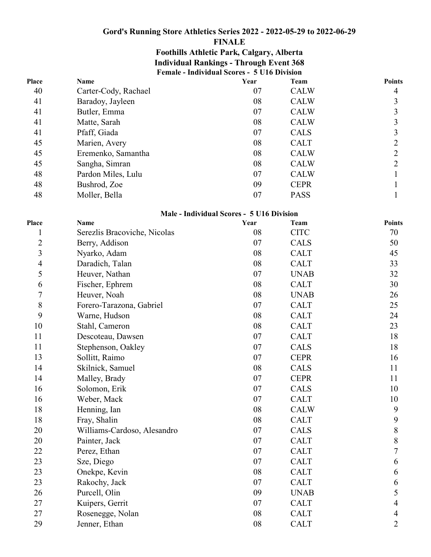### **FINALE**

## **Female - Individual Scores - 5 U16 Division Foothills Athletic Park, Calgary, Alberta Individual Rankings - Through Event 368**

| Place | <b>Name</b>          | Year | Team        | Points |
|-------|----------------------|------|-------------|--------|
| 40    | Carter-Cody, Rachael | 07   | <b>CALW</b> | 4      |
| 41    | Baradoy, Jayleen     | 08   | <b>CALW</b> | 3      |
| 41    | Butler, Emma         | 07   | <b>CALW</b> | 3      |
| 41    | Matte, Sarah         | 08   | <b>CALW</b> | 3      |
| 41    | Pfaff, Giada         | 07   | <b>CALS</b> | 3      |
| 45    | Marien, Avery        | 08   | <b>CALT</b> | 2      |
| 45    | Eremenko, Samantha   | 08   | <b>CALW</b> | 2      |
| 45    | Sangha, Simran       | 08   | <b>CALW</b> | 2      |
| 48    | Pardon Miles, Lulu   | 07   | <b>CALW</b> |        |
| 48    | Bushrod, Zoe         | 09   | <b>CEPR</b> |        |
| 48    | Moller, Bella        | 07   | <b>PASS</b> |        |

#### **Male - Individual Scores - 5 U16 Division**

| Place          | Name                         | Year | <b>Team</b> | <b>Points</b>    |
|----------------|------------------------------|------|-------------|------------------|
| 1              | Serezlis Bracoviche, Nicolas | 08   | <b>CITC</b> | 70               |
| $\overline{2}$ | Berry, Addison               | 07   | <b>CALS</b> | 50               |
| $\mathfrak{Z}$ | Nyarko, Adam                 | 08   | <b>CALT</b> | 45               |
| $\overline{4}$ | Daradich, Talan              | 08   | <b>CALT</b> | 33               |
| 5              | Heuver, Nathan               | 07   | <b>UNAB</b> | 32               |
| 6              | Fischer, Ephrem              | 08   | <b>CALT</b> | 30               |
| $\overline{7}$ | Heuver, Noah                 | 08   | <b>UNAB</b> | 26               |
| 8              | Forero-Tarazona, Gabriel     | 07   | <b>CALT</b> | 25               |
| 9              | Warne, Hudson                | 08   | <b>CALT</b> | 24               |
| 10             | Stahl, Cameron               | 08   | <b>CALT</b> | 23               |
| 11             | Descoteau, Dawsen            | 07   | <b>CALT</b> | 18               |
| 11             | Stephenson, Oakley           | 07   | <b>CALS</b> | 18               |
| 13             | Sollitt, Raimo               | 07   | <b>CEPR</b> | 16               |
| 14             | Skilnick, Samuel             | 08   | <b>CALS</b> | 11               |
| 14             | Malley, Brady                | 07   | <b>CEPR</b> | 11               |
| 16             | Solomon, Erik                | 07   | <b>CALS</b> | 10               |
| 16             | Weber, Mack                  | 07   | <b>CALT</b> | 10               |
| 18             | Henning, Ian                 | 08   | <b>CALW</b> | 9                |
| 18             | Fray, Shalin                 | 08   | <b>CALT</b> | $\boldsymbol{9}$ |
| 20             | Williams-Cardoso, Alesandro  | 07   | <b>CALS</b> | $8\,$            |
| 20             | Painter, Jack                | 07   | <b>CALT</b> | $8\,$            |
| 22             | Perez, Ethan                 | 07   | <b>CALT</b> | $\overline{7}$   |
| 23             | Sze, Diego                   | 07   | <b>CALT</b> | 6                |
| 23             | Onekpe, Kevin                | 08   | <b>CALT</b> | 6                |
| 23             | Rakochy, Jack                | 07   | <b>CALT</b> | 6                |
| 26             | Purcell, Olin                | 09   | <b>UNAB</b> | 5                |
| 27             | Kuipers, Gerrit              | 07   | <b>CALT</b> | $\overline{4}$   |
| 27             | Rosenegge, Nolan             | 08   | <b>CALT</b> | $\overline{4}$   |
| 29             | Jenner, Ethan                | 08   | <b>CALT</b> | $\overline{2}$   |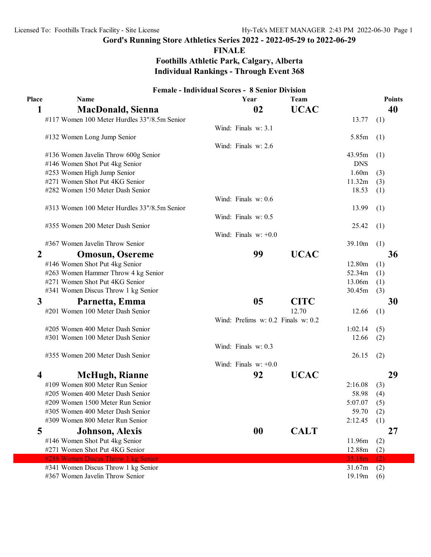**FINALE**

**Foothills Athletic Park, Calgary, Alberta Individual Rankings - Through Event 368**

|       | <b>Female - Individual Scores - 8 Senior Division</b> |                                    |             |            |               |
|-------|-------------------------------------------------------|------------------------------------|-------------|------------|---------------|
| Place | <b>Name</b>                                           | Year                               | Team        |            | <b>Points</b> |
| 1     | <b>MacDonald, Sienna</b>                              | 02                                 | <b>UCAC</b> |            | 40            |
|       | #117 Women 100 Meter Hurdles 33"/8.5m Senior          |                                    |             | 13.77      | (1)           |
|       |                                                       | Wind: Finals w: 3.1                |             |            |               |
|       | #132 Women Long Jump Senior                           |                                    |             | 5.85m      | (1)           |
|       |                                                       | Wind: Finals w: 2.6                |             |            |               |
|       | #136 Women Javelin Throw 600g Senior                  |                                    |             | 43.95m     | (1)           |
|       | #146 Women Shot Put 4kg Senior                        |                                    |             | <b>DNS</b> |               |
|       | #253 Women High Jump Senior                           |                                    |             | 1.60m      | (3)           |
|       | #271 Women Shot Put 4KG Senior                        |                                    |             | 11.32m     | (3)           |
|       | #282 Women 150 Meter Dash Senior                      |                                    |             | 18.53      | (1)           |
|       |                                                       | Wind: Finals w: 0.6                |             |            |               |
|       | #313 Women 100 Meter Hurdles 33"/8.5m Senior          |                                    |             | 13.99      | (1)           |
|       |                                                       | Wind: Finals w: 0.5                |             |            |               |
|       | #355 Women 200 Meter Dash Senior                      |                                    |             | 25.42      | (1)           |
|       |                                                       | Wind: Finals $w: +0.0$             |             |            |               |
|       | #367 Women Javelin Throw Senior                       |                                    |             | 39.10m     | (1)           |
| 2     | <b>Omosun, Osereme</b>                                | 99                                 | <b>UCAC</b> |            | 36            |
|       | #146 Women Shot Put 4kg Senior                        |                                    |             | 12.80m     | (1)           |
|       | #263 Women Hammer Throw 4 kg Senior                   |                                    |             | 52.34m     | (1)           |
|       | #271 Women Shot Put 4KG Senior                        |                                    |             | 13.06m     | (1)           |
|       | #341 Women Discus Throw 1 kg Senior                   |                                    |             | 30.45m     | (3)           |
| 3     | Parnetta, Emma                                        | 05                                 | <b>CITC</b> |            | 30            |
|       | #201 Women 100 Meter Dash Senior                      |                                    | 12.70       | 12.66      | (1)           |
|       |                                                       | Wind: Prelims w: 0.2 Finals w: 0.2 |             |            |               |
|       | #205 Women 400 Meter Dash Senior                      |                                    |             | 1:02.14    | (5)           |
|       | #301 Women 100 Meter Dash Senior                      |                                    |             | 12.66      | (2)           |
|       |                                                       | Wind: Finals w: 0.3                |             |            |               |
|       | #355 Women 200 Meter Dash Senior                      |                                    |             | 26.15      | (2)           |
|       |                                                       | Wind: Finals $w: +0.0$             |             |            |               |
| 4     | <b>McHugh, Rianne</b>                                 | 92                                 | <b>UCAC</b> |            | 29            |
|       | #109 Women 800 Meter Run Senior                       |                                    |             | 2:16.08    | (3)           |
|       | #205 Women 400 Meter Dash Senior                      |                                    |             | 58.98      | (4)           |
|       | #209 Women 1500 Meter Run Senior                      |                                    |             | 5:07.07    | (5)           |
|       | #305 Women 400 Meter Dash Senior                      |                                    |             | 59.70      | (2)           |
|       | #309 Women 800 Meter Run Senior                       |                                    |             | 2:12.45    | (1)           |
| 5     | <b>Johnson, Alexis</b>                                | 00                                 | <b>CALT</b> |            | 27            |
|       | #146 Women Shot Put 4kg Senior                        |                                    |             | 11.96m     | (2)           |
|       | #271 Women Shot Put 4KG Senior                        |                                    |             | 12.88m     | (2)           |
|       | #288 Women Discus Throw 1 kg Senior                   |                                    |             | 35.18m     | (2)           |
|       | #341 Women Discus Throw 1 kg Senior                   |                                    |             | 31.67m     | (2)           |
|       | #367 Women Javelin Throw Senior                       |                                    |             | 19.19m     | (6)           |